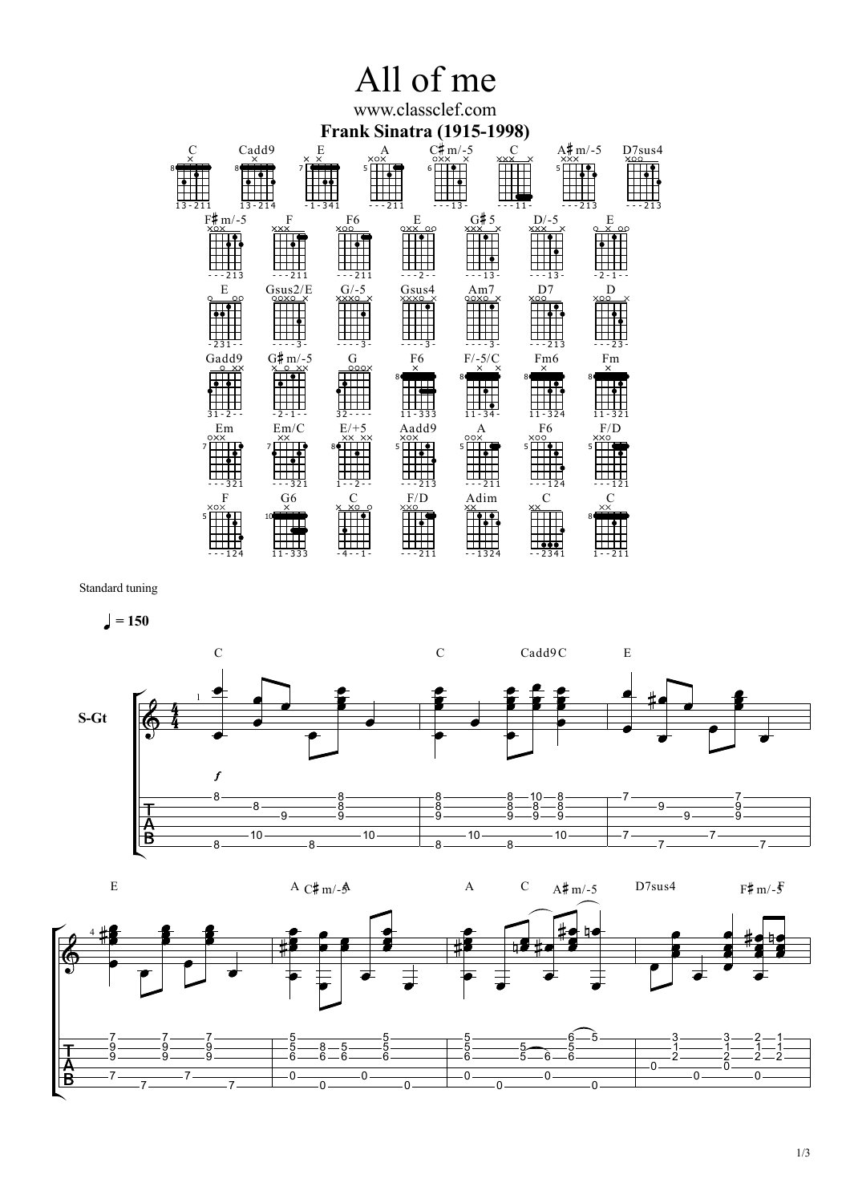## All of me

www.classclef.com **Frank Sinatra (1915-1998)**

| 8<br>$13 - 211$                            | Cadd9<br>$_{\times}$ $_{\times}^{\rm E}$<br>$\overline{\mathsf{x}}$<br>7<br>$13 - 214$ | A<br>$\times \circ \times$<br>5 O<br>$-1 - 341$<br>$--211$     | <b>OXX</b><br>$6 \overline{\phantom{0}}$ | $C#m/-5$<br>C<br><b>XXX</b><br>$\times$<br>$--13-$        | - ,<br><b>XXX</b><br>x<br>5 E<br>$--11-$       | $A# m/-5$<br>D7sus4<br><b>XOO</b><br>. .<br>$-213$<br>---213 |  |
|--------------------------------------------|----------------------------------------------------------------------------------------|----------------------------------------------------------------|------------------------------------------|-----------------------------------------------------------|------------------------------------------------|--------------------------------------------------------------|--|
| $F# m/-5$<br><b>XOX</b><br>213             | F<br><b>XXX</b><br>$--211$                                                             | F <sub>6</sub><br>XOO<br>$-211$                                | Ε<br>$0xX$ 00<br>- - - 2 - -             | G#5<br><b>XXX</b><br>$\mathsf{\rightarrow}$<br>$- - 13 -$ | $D/-5$<br>XXX X<br>$- - 13 -$                  | Ε<br>$0 \times 00$<br>- 2 - 1 - -                            |  |
| E<br>-231--                                | Gsus2/E<br>OOXO X<br>$\circ$<br>$-3-$                                                  | $G/-5$<br>XXXO X<br>. 3                                        | Gsus4<br>XXXO X<br>$- - 3$               | Am7<br>QOXO X<br>. 3 -                                    | D7<br><b>XOO</b><br>- - - 213                  | D<br>XOO<br>$23 -$                                           |  |
| Gadd9<br>$0 - \times \times$<br>31 - 2 - - | $G#m/-5$<br>X O XX<br>- 2 - 1 - -                                                      | G<br>000X<br>$32 - - -$                                        | F6<br>$\times$<br>$11 - 333$             | $F/-5/C$<br>$\times$<br>×<br>$11 - 34 -$                  | Fm <sub>6</sub><br>$\times$<br>$11 - 324$      | Fm<br>$\times$<br>11-321                                     |  |
| Em<br>oxx<br>7<br>321                      | Em/C<br>XX<br>7<br>321                                                                 | $E/+5$<br>$\times\times$ $\times\times$<br>8♦∐<br>$1 - -2 - -$ | Aadd9<br><b>XOX</b><br>$5$ $\Box$<br>213 | A<br>00X<br>5 <sub>1</sub><br>211                         | F <sub>6</sub><br>XOO<br>5 <sup>1</sup><br>124 | F/D<br><b>XXO</b><br>5<br>121                                |  |
| F<br>XOX<br>5<br>- - - 124                 | G6<br>$\times$<br>$11 - 333$                                                           | C<br>X XO O<br>-4--1-                                          | F/D<br><b>XXO</b><br>$-211$              | Adim<br>××<br>$-1324$                                     | $\mathcal{C}$<br>$\times\!\times$<br>$-2341$   | C<br>$\times\times$<br>$1 - 211$                             |  |

Standard tuning



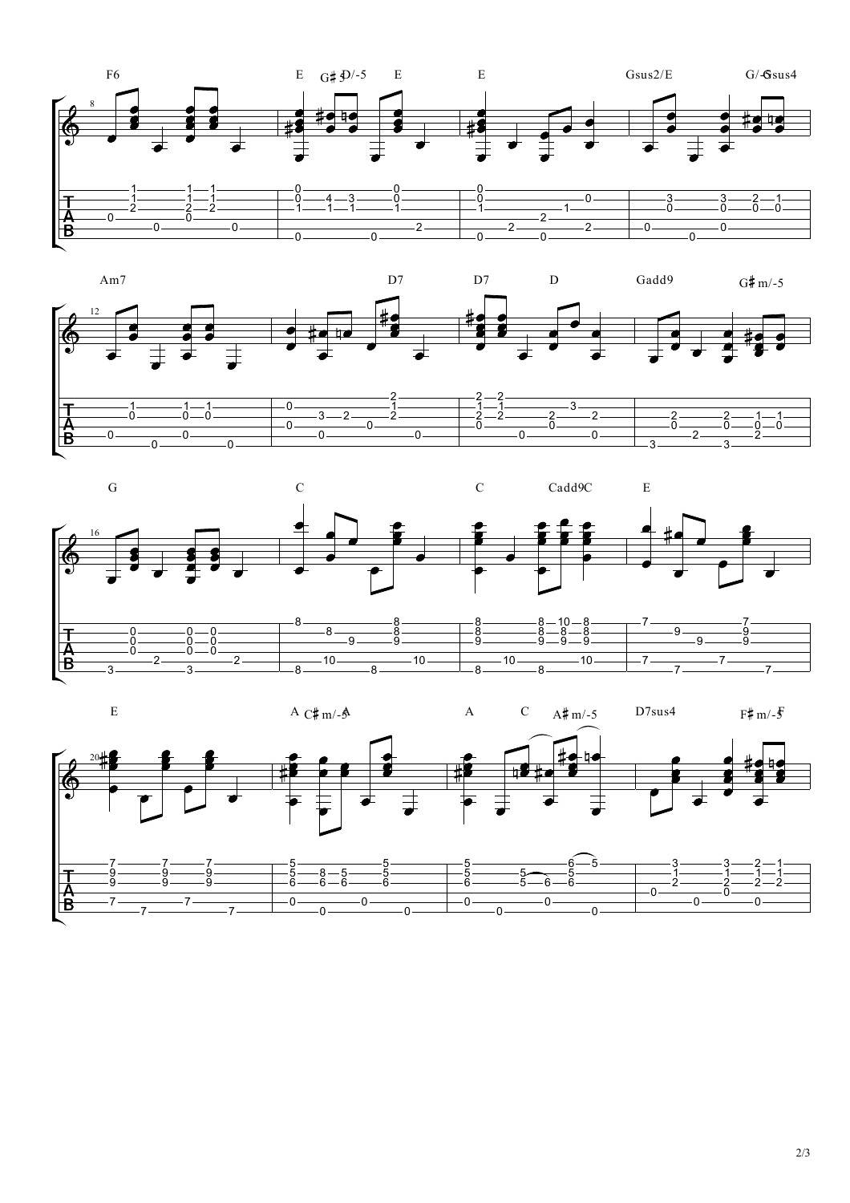